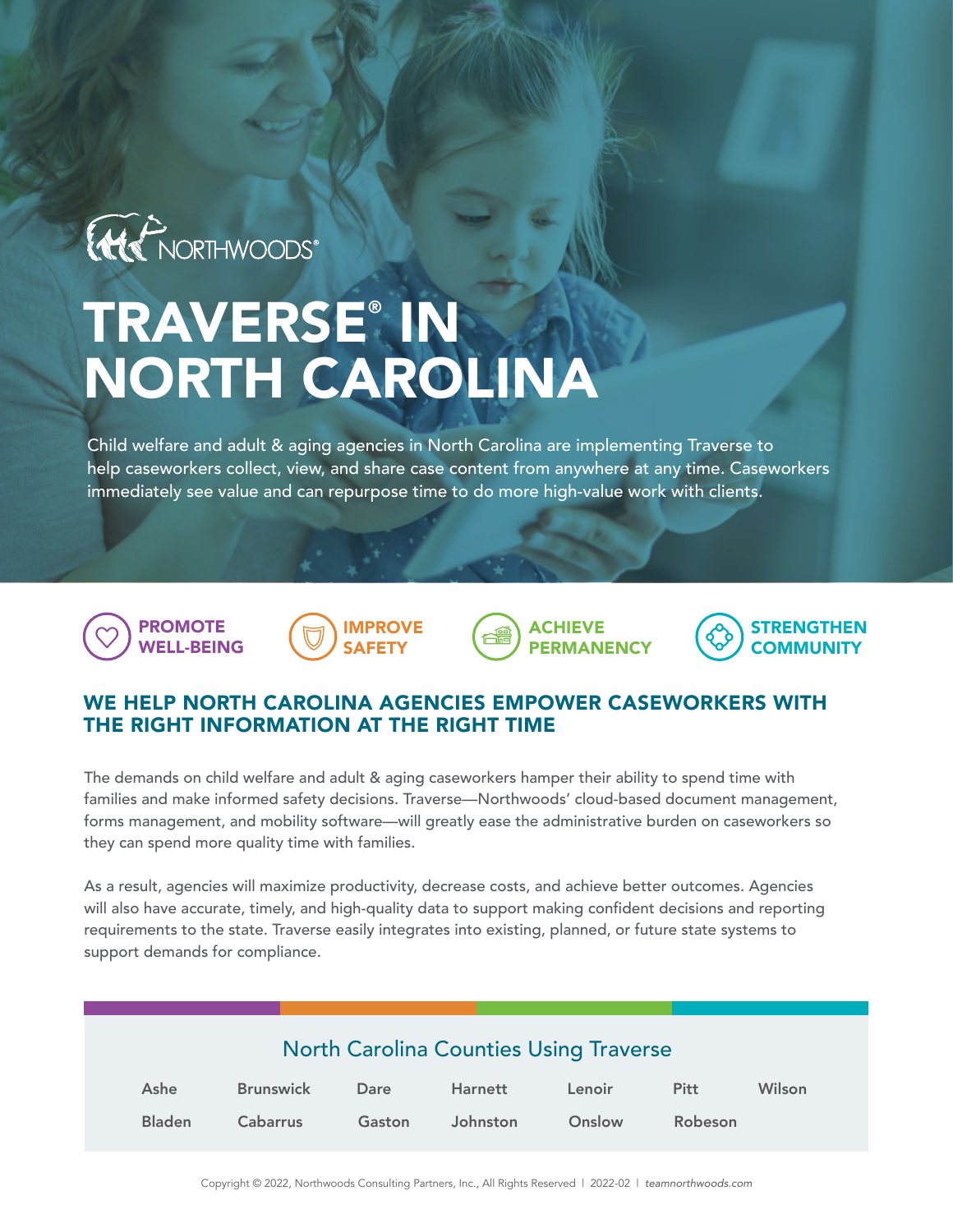

## TRAVERSE® IN NORTH CAROLINA

Child welfare and adult & aging agencies in North Carolina are implementing Traverse to help caseworkers collect, view, and share case content from anywhere at any time. Caseworkers immediately see value and can repurpose time to do more high-value work with clients.









## WE HELP NORTH CAROLINA AGENCIES EMPOWER CASEWORKERS WITH THE RIGHT INFORMATION AT THE RIGHT TIME

The demands on child welfare and adult & aging caseworkers hamper their ability to spend time with families and make informed safety decisions. Traverse—Northwoods' cloud-based document management, forms management, and mobility software—will greatly ease the administrative burden on caseworkers so they can spend more quality time with families.

As a result, agencies will maximize productivity, decrease costs, and achieve better outcomes. Agencies will also have accurate, timely, and high-quality data to support making confident decisions and reporting requirements to the state. Traverse easily integrates into existing, planned, or future state systems to support demands for compliance.

| <b>North Carolina Counties Using Traverse</b> |                  |        |          |        |             |        |
|-----------------------------------------------|------------------|--------|----------|--------|-------------|--------|
| Ashe                                          | <b>Brunswick</b> | Dare   | Harnett  | Lenoir | <b>Pitt</b> | Wilson |
| <b>Bladen</b>                                 | Cabarrus         | Gaston | Johnston | Onslow | Robeson     |        |